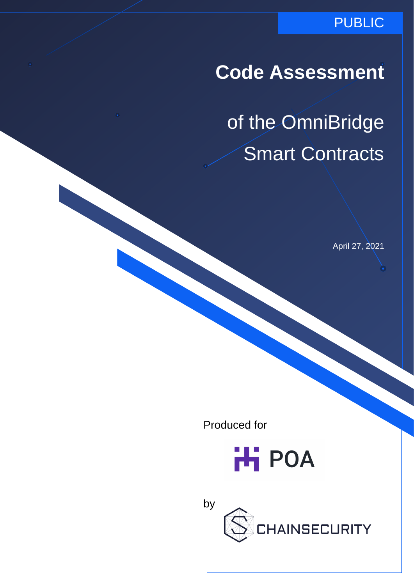### PUBLIC

# **Code Assessment**

of the OmniBridge Smart Contracts

April 27, 2021

Produced for



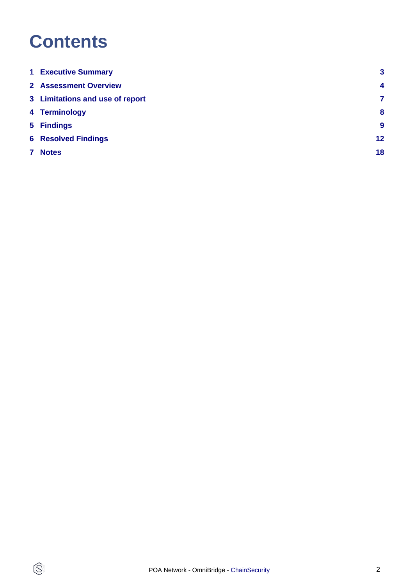# **Contents**

 $\circledS$ 

| <b>1 Executive Summary</b>      | $\mathbf{3}$     |
|---------------------------------|------------------|
| <b>2 Assessment Overview</b>    | $\overline{4}$   |
| 3 Limitations and use of report | 7                |
| 4 Terminology                   | 8                |
| 5 Findings                      | $\boldsymbol{9}$ |
| <b>6 Resolved Findings</b>      | 12               |
| <b>Notes</b>                    | 18               |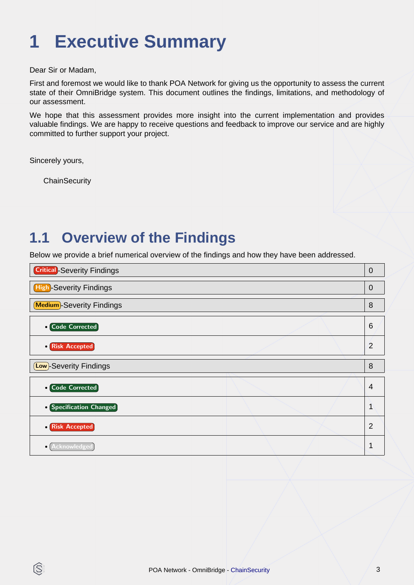# <span id="page-2-0"></span>**1 Executive Summary**

Dear Sir or Madam,

First and foremost we would like to thank POA Network for giving us the opportunity to assess the current state of their OmniBridge system. This document outlines the findings, limitations, and methodology of our assessment.

We hope that this assessment provides more insight into the current implementation and provides valuable findings. We are happy to receive questions and feedback to improve our service and are highly committed to further support your project.

Sincerely yours,

IS

**ChainSecurity** 

### **1.1 Overview of the Findings**

Below we provide a brief numerical overview of the findings and how they have been addressed.

| <b>Critical</b> -Severity Findings<br>$\overline{0}$ |  |
|------------------------------------------------------|--|
| High-Severity Findings<br>$\Omega$                   |  |
| <b>Medium</b> -Severity Findings<br>8                |  |
| 6<br>• Code Corrected                                |  |
| 2<br>• Risk Accepted                                 |  |
| (Low)-Severity Findings<br>8                         |  |
| • Code Corrected<br>$\overline{4}$                   |  |
| • Specification Changed                              |  |
| $\mathcal{P}$<br>• Risk Accepted                     |  |
| · Acknowledged                                       |  |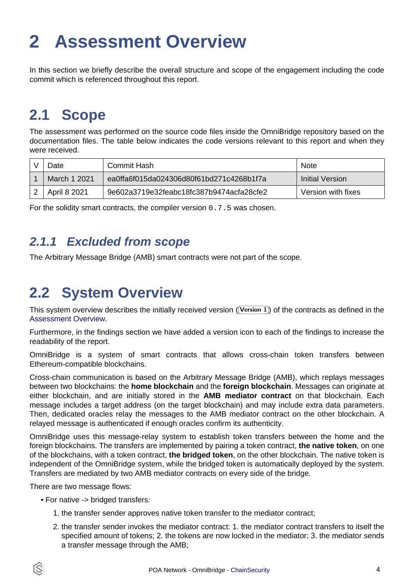# <span id="page-3-1"></span><span id="page-3-0"></span>**2 Assessment Overview**

In this section we briefly describe the overall structure and scope of the engagement including the code commit which is referenced throughout this report.

## **2.1 Scope**

The assessment was performed on the source code files inside the OmniBridge repository based on the documentation files. The table below indicates the code versions relevant to this report and when they were received.

| Date                | Commit Hash                              | <b>Note</b>        |
|---------------------|------------------------------------------|--------------------|
| <b>March 1 2021</b> | ea0ffa6f015da024306d80f61bd271c4268b1f7a | Initial Version    |
| April 8 2021        | 9e602a3719e32feabc18fc387b9474acfa28cfe2 | Version with fixes |

For the solidity smart contracts, the compiler version 0.7.5 was chosen.

### **2.1.1 Excluded from scope**

The Arbitrary Message Bridge (AMB) smart contracts were not part of the scope.

## **2.2 System Overview**

This system overview describes the initially received version ((Version 1)) of the contracts as defined in the [Assessment Overview](#page-3-1).

Furthermore, in the findings section we have added a version icon to each of the findings to increase the readability of the report.

OmniBridge is a system of smart contracts that allows cross-chain token transfers between Ethereum-compatible blockchains.

Cross-chain communication is based on the Arbitrary Message Bridge (AMB), which replays messages between two blockchains: the **home blockchain** and the **foreign blockchain**. Messages can originate at either blockchain, and are initially stored in the **AMB mediator contract** on that blockchain. Each message includes a target address (on the target blockchain) and may include extra data parameters. Then, dedicated oracles relay the messages to the AMB mediator contract on the other blockchain. A relayed message is authenticated if enough oracles confirm its authenticity.

OmniBridge uses this message-relay system to establish token transfers between the home and the foreign blockchains. The transfers are implemented by pairing a token contract, **the native token**, on one of the blockchains, with a token contract, **the bridged token**, on the other blockchain. The native token is independent of the OmniBridge system, while the bridged token is automatically deployed by the system. Transfers are mediated by two AMB mediator contracts on every side of the bridge.

There are two message flows:

- For native -> bridged transfers:
	- 1. the transfer sender approves native token transfer to the mediator contract;
	- 2. the transfer sender invokes the mediator contract: 1. the mediator contract transfers to itself the specified amount of tokens; 2. the tokens are now locked in the mediator; 3. the mediator sends a transfer message through the AMB;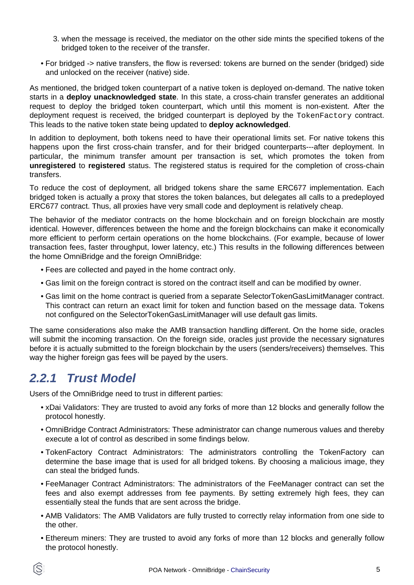- 3. when the message is received, the mediator on the other side mints the specified tokens of the bridged token to the receiver of the transfer.
- For bridged -> native transfers, the flow is reversed: tokens are burned on the sender (bridged) side and unlocked on the receiver (native) side.

As mentioned, the bridged token counterpart of a native token is deployed on-demand. The native token starts in a **deploy unacknowledged state**. In this state, a cross-chain transfer generates an additional request to deploy the bridged token counterpart, which until this moment is non-existent. After the deployment request is received, the bridged counterpart is deployed by the TokenFactory contract. This leads to the native token state being updated to **deploy acknowledged**.

In addition to deployment, both tokens need to have their operational limits set. For native tokens this happens upon the first cross-chain transfer, and for their bridged counterparts---after deployment. In particular, the minimum transfer amount per transaction is set, which promotes the token from **unregistered** to **registered** status. The registered status is required for the completion of cross-chain transfers.

To reduce the cost of deployment, all bridged tokens share the same ERC677 implementation. Each bridged token is actually a proxy that stores the token balances, but delegates all calls to a predeployed ERC677 contract. Thus, all proxies have very small code and deployment is relatively cheap.

The behavior of the mediator contracts on the home blockchain and on foreign blockchain are mostly identical. However, differences between the home and the foreign blockchains can make it economically more efficient to perform certain operations on the home blockchains. (For example, because of lower transaction fees, faster throughput, lower latency, etc.) This results in the following differences between the home OmniBridge and the foreign OmniBridge:

- Fees are collected and payed in the home contract only.
- Gas limit on the foreign contract is stored on the contract itself and can be modified by owner.
- Gas limit on the home contract is queried from a separate SelectorTokenGasLimitManager contract. This contract can return an exact limit for token and function based on the message data. Tokens not configured on the SelectorTokenGasLimitManager will use default gas limits.

The same considerations also make the AMB transaction handling different. On the home side, oracles will submit the incoming transaction. On the foreign side, oracles just provide the necessary signatures before it is actually submitted to the foreign blockchain by the users (senders/receivers) themselves. This way the higher foreign gas fees will be payed by the users.

### **2.2.1 Trust Model**

Users of the OmniBridge need to trust in different parties:

- xDai Validators: They are trusted to avoid any forks of more than 12 blocks and generally follow the protocol honestly.
- OmniBridge Contract Administrators: These administrator can change numerous values and thereby execute a lot of control as described in some findings below.
- TokenFactory Contract Administrators: The administrators controlling the TokenFactory can determine the base image that is used for all bridged tokens. By choosing a malicious image, they can steal the bridged funds.
- FeeManager Contract Administrators: The administrators of the FeeManager contract can set the fees and also exempt addresses from fee payments. By setting extremely high fees, they can essentially steal the funds that are sent across the bridge.
- AMB Validators: The AMB Validators are fully trusted to correctly relay information from one side to the other.
- Ethereum miners: They are trusted to avoid any forks of more than 12 blocks and generally follow the protocol honestly.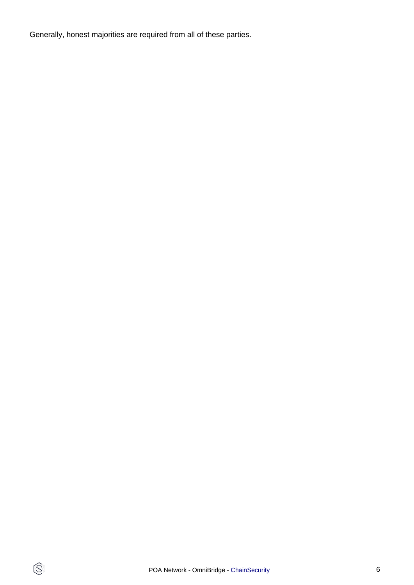Generally, honest majorities are required from all of these parties.

 $\circledS$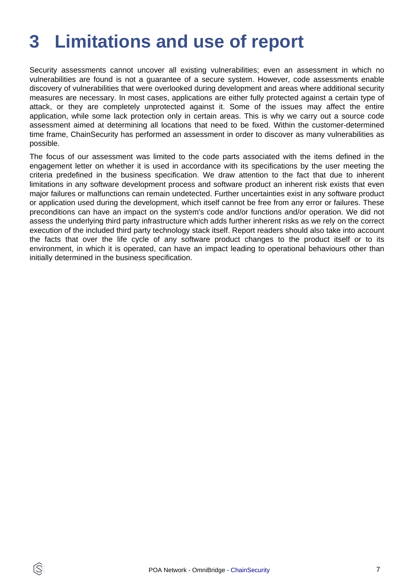# <span id="page-6-0"></span>**3 Limitations and use of report**

Security assessments cannot uncover all existing vulnerabilities; even an assessment in which no vulnerabilities are found is not a guarantee of a secure system. However, code assessments enable discovery of vulnerabilities that were overlooked during development and areas where additional security measures are necessary. In most cases, applications are either fully protected against a certain type of attack, or they are completely unprotected against it. Some of the issues may affect the entire application, while some lack protection only in certain areas. This is why we carry out a source code assessment aimed at determining all locations that need to be fixed. Within the customer-determined time frame, ChainSecurity has performed an assessment in order to discover as many vulnerabilities as possible.

The focus of our assessment was limited to the code parts associated with the items defined in the engagement letter on whether it is used in accordance with its specifications by the user meeting the criteria predefined in the business specification. We draw attention to the fact that due to inherent limitations in any software development process and software product an inherent risk exists that even major failures or malfunctions can remain undetected. Further uncertainties exist in any software product or application used during the development, which itself cannot be free from any error or failures. These preconditions can have an impact on the system's code and/or functions and/or operation. We did not assess the underlying third party infrastructure which adds further inherent risks as we rely on the correct execution of the included third party technology stack itself. Report readers should also take into account the facts that over the life cycle of any software product changes to the product itself or to its environment, in which it is operated, can have an impact leading to operational behaviours other than initially determined in the business specification.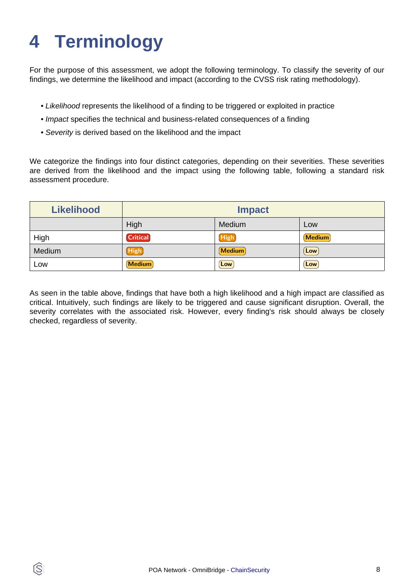# <span id="page-7-0"></span>**4 Terminology**

ĺS

For the purpose of this assessment, we adopt the following terminology. To classify the severity of our findings, we determine the likelihood and impact (according to the CVSS risk rating methodology).

- Likelihood represents the likelihood of a finding to be triggered or exploited in practice
- Impact specifies the technical and business-related consequences of a finding
- Severity is derived based on the likelihood and the impact

We categorize the findings into four distinct categories, depending on their severities. These severities are derived from the likelihood and the impact using the following table, following a standard risk assessment procedure.

| <b>Likelihood</b> | <b>Impact</b>   |               |               |
|-------------------|-----------------|---------------|---------------|
|                   | High            | Medium        | Low           |
| High              | <b>Critical</b> | <b>High</b>   | <b>Medium</b> |
| Medium            | High            | <b>Medium</b> | Low           |
| Low               | <b>Medium</b>   | Low           | Low           |

As seen in the table above, findings that have both a high likelihood and a high impact are classified as critical. Intuitively, such findings are likely to be triggered and cause significant disruption. Overall, the severity correlates with the associated risk. However, every finding's risk should always be closely checked, regardless of severity.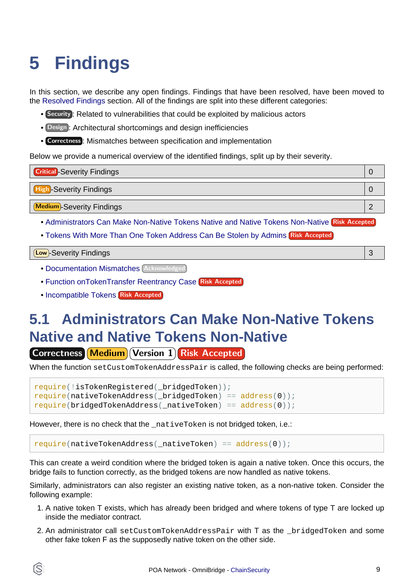# <span id="page-8-2"></span><span id="page-8-0"></span>**5 Findings**

In this section, we describe any open findings. Findings that have been resolved, have been moved to the [Resolved Findings](#page-11-1) section. All of the findings are split into these different categories:

- Security : Related to vulnerabilities that could be exploited by malicious actors
- Design : Architectural shortcomings and design inefficiencies
- Correctness : Mismatches between specification and implementation

Below we provide a numerical overview of the identified findings, split up by their severity.

| <b>Critical</b> -Severity Findings |  |
|------------------------------------|--|
| <b>High-Severity Findings</b>      |  |
| <b>Medium</b> -Severity Findings   |  |

- [Administrators Can Make Non-Native Tokens Native and Native Tokens Non-Native](#page-8-1) Risk Accepted
- [Tokens With More Than One Token Address Can Be Stolen by Admins](#page-9-0) Risk Accepted

#### Low -Severity Findings 3

- **[Documentation Mismatches](#page-9-1)** (Acknowledged
- [Function onTokenTransfer Reentrancy Case](#page-10-0) Risk Accepted
- [Incompatible Tokens](#page-10-1) Risk Accepted

## <span id="page-8-1"></span>**5.1 Administrators Can Make Non-Native Tokens Native and Native Tokens Non-Native**

Correctness Medium Version 1 Risk Accepted

When the function setCustomTokenAddressPair is called, the following checks are being performed:

```
require(!isTokenRegistered(_bridgedToken));
require(nativeTokenAddress(_bridgedToken) == address(0));
require(bridgedTokenAddress(_nativeToken) == address(0));
```
However, there is no check that the nativeToken is not bridged token, i.e.:

require(nativeTokenAddress(\_nativeToken) == address(0));

This can create a weird condition where the bridged token is again a native token. Once this occurs, the bridge fails to function correctly, as the bridged tokens are now handled as native tokens.

Similarly, administrators can also register an existing native token, as a non-native token. Consider the following example:

- 1. A native token T exists, which has already been bridged and where tokens of type T are locked up inside the mediator contract.
- 2. An administrator call setCustomTokenAddressPair with T as the \_bridgedToken and some other fake token F as the supposedly native token on the other side.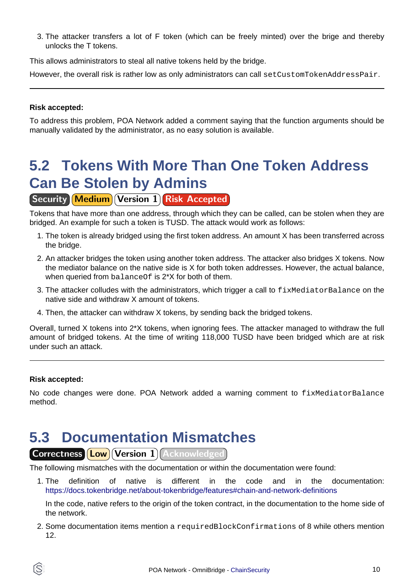3. The attacker transfers a lot of F token (which can be freely minted) over the brige and thereby unlocks the T tokens.

This allows administrators to steal all native tokens held by the bridge.

However, the overall risk is rather low as only administrators can call set CustomTokenAddressPair.

#### **Risk accepted:**

To address this problem, POA Network added a comment saying that the function arguments should be manually validated by the administrator, as no easy solution is available.

# <span id="page-9-0"></span>**5.2 Tokens With More Than One Token Address Can Be Stolen by Admins**

### **Security Medium Version 1 Risk Accepted**

Tokens that have more than one address, through which they can be called, can be stolen when they are bridged. An example for such a token is TUSD. The attack would work as follows:

- 1. The token is already bridged using the first token address. An amount X has been transferred across the bridge.
- 2. An attacker bridges the token using another token address. The attacker also bridges X tokens. Now the mediator balance on the native side is X for both token addresses. However, the actual balance, when queried from balance Of is 2<sup>\*</sup>X for both of them.
- 3. The attacker colludes with the administrators, which trigger a call to  $fixMediatorBalance$  on the native side and withdraw X amount of tokens.
- 4. Then, the attacker can withdraw X tokens, by sending back the bridged tokens.

Overall, turned X tokens into 2\*X tokens, when ignoring fees. The attacker managed to withdraw the full amount of bridged tokens. At the time of writing 118,000 TUSD have been bridged which are at risk under such an attack.

#### **Risk accepted:**

No code changes were done. POA Network added a warning comment to fixMediatorBalance method.

### <span id="page-9-1"></span>**5.3 Documentation Mismatches**

Correctness **Low** Version 1 Acknowledged

The following mismatches with the documentation or within the documentation were found:

1. The definition of native is different in the code and in the documentation: <https://docs.tokenbridge.net/about-tokenbridge/features#chain-and-network-definitions>

In the code, native refers to the origin of the token contract, in the documentation to the home side of the network.

2. Some documentation items mention a requiredBlockConfirmations of 8 while others mention 12.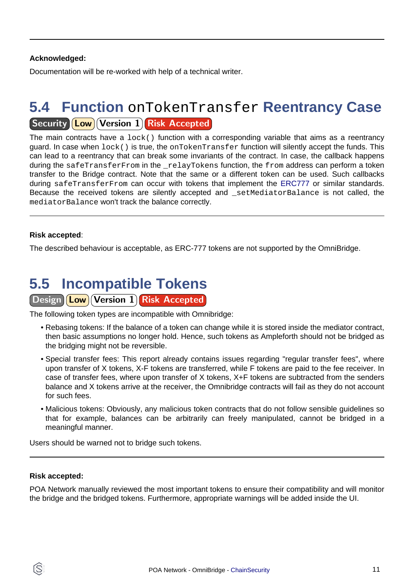### **Acknowledged:**

Documentation will be re-worked with help of a technical writer.

### <span id="page-10-0"></span>**5.4 Function** onTokenTransfer **Reentrancy Case Security Low Version 1 Risk Accepted**

The main contracts have a  $lock()$  function with a corresponding variable that aims as a reentrancy guard. In case when lock() is true, the onTokenTransfer function will silently accept the funds. This can lead to a reentrancy that can break some invariants of the contract. In case, the callback happens during the safeTransferFrom in the relayTokens function, the from address can perform a token transfer to the Bridge contract. Note that the same or a different token can be used. Such callbacks during safeTransferFrom can occur with tokens that implement t[he ERC777](https://eips.ethereum.org/EIPS/eip-777) or similar standards. Because the received tokens are silently accepted and \_setMediatorBalance is not called, the mediatorBalance won't track the balance correctly.

### **Risk accepted**:

The described behaviour is acceptable, as ERC-777 tokens are not supported by the OmniBridge.

### <span id="page-10-1"></span>**5.5 Incompatible Tokens**

### Design **Low** Version 1 Risk Accepted

The following token types are incompatible with Omnibridge:

- Rebasing tokens: If the balance of a token can change while it is stored inside the mediator contract, then basic assumptions no longer hold. Hence, such tokens as Ampleforth should not be bridged as the bridging might not be reversible.
- Special transfer fees: This report already contains issues regarding "regular transfer fees", where upon transfer of X tokens, X-F tokens are transferred, while F tokens are paid to the fee receiver. In case of transfer fees, where upon transfer of X tokens, X+F tokens are subtracted from the senders balance and X tokens arrive at the receiver, the Omnibridge contracts will fail as they do not account for such fees.
- Malicious tokens: Obviously, any malicious token contracts that do not follow sensible guidelines so that for example, balances can be arbitrarily can freely manipulated, cannot be bridged in a meaningful manner.

Users should be warned not to bridge such tokens.

#### **Risk accepted:**

POA Network manually reviewed the most important tokens to ensure their compatibility and will monitor the bridge and the bridged tokens. Furthermore, appropriate warnings will be added inside the UI.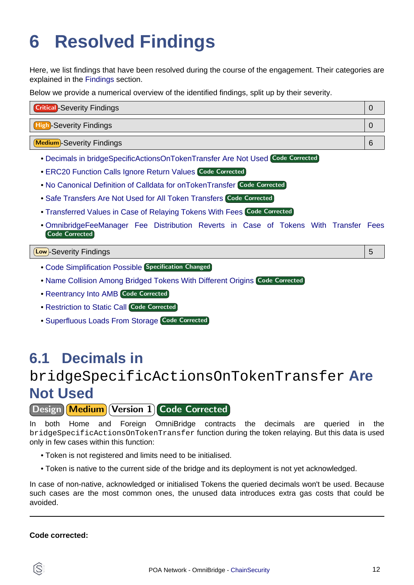# <span id="page-11-1"></span><span id="page-11-0"></span>**6 Resolved Findings**

Here, we list findings that have been resolved during the course of the engagement. Their categories are explained in the [Findings](#page-8-2) section.

Below we provide a numerical overview of the identified findings, split up by their severity.

| <b>Critical</b> -Severity Findings |   |
|------------------------------------|---|
| <b>High-Severity Findings</b>      |   |
| <b>Medium</b> -Severity Findings   | 6 |

- [Decimals in bridgeSpecificActionsOnTokenTransfer Are Not Used](#page-11-2) Code Corrected
- **[ERC20 Function Calls Ignore Return Values](#page-12-0) Code Corrected**
- [No Canonical Definition of Calldata for onTokenTransfer](#page-12-1) Code Corrected
- [Safe Transfers Are Not Used for All Token Transfers](#page-13-0) Code Corrected
- [Transferred Values in Case of Relaying Tokens With Fees](#page-13-1) Code Corrected
- [OmnibridgeFeeManager Fee Distribution Reverts in Case of Tokens With Transfer Fees](#page-13-2) Code Corrected

Low -Severity Findings 5

- [Code Simplification Possible](#page-14-0) Specification Changed
- [Name Collision Among Bridged Tokens With Different Origins](#page-14-1) Code Corrected
- [Reentrancy Into AMB](#page-15-0) Code Corrected
- [Restriction to Static Call](#page-15-1) Code Corrected
- [Superfluous Loads From Storage](#page-16-0) Code Corrected

## <span id="page-11-2"></span>**6.1 Decimals in**

### bridgeSpecificActionsOnTokenTransfer **Are Not Used**

Design Medium Version 1 Code Corrected

In both Home and Foreign OmniBridge contracts the decimals are queried in the bridgeSpecificActionsOnTokenTransfer function during the token relaying. But this data is used only in few cases within this function:

- Token is not registered and limits need to be initialised.
- Token is native to the current side of the bridge and its deployment is not yet acknowledged.

In case of non-native, acknowledged or initialised Tokens the queried decimals won't be used. Because such cases are the most common ones, the unused data introduces extra gas costs that could be avoided.

#### **Code corrected:**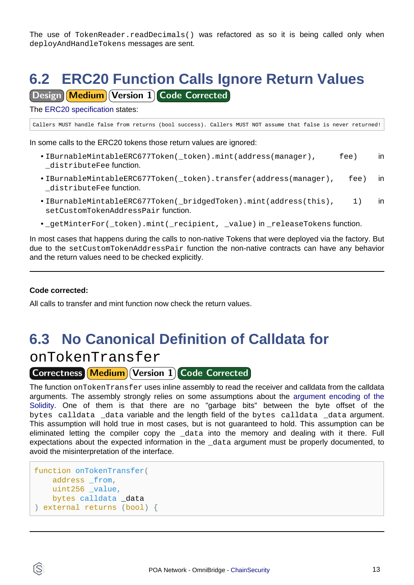The use of TokenReader.readDecimals() was refactored as so it is being called only when deployAndHandleTokens messages are sent.

# <span id="page-12-0"></span>**6.2 ERC20 Function Calls Ignore Return Values**

**Design Medium Version 1 Code Corrected** 

The [ERC20 specification](https://eips.ethereum.org/EIPS/eip-20) states:

Callers MUST handle false from returns (bool success). Callers MUST NOT assume that false is never returned!

In some calls to the ERC20 tokens those return values are ignored:

- IBurnableMintableERC677Token( token).mint(address(manager), fee) in \_distributeFee function.
- IBurnableMintableERC677Token(\_token).transfer(address(manager), fee) in \_distributeFee function.
- IBurnableMintableERC677Token(\_bridgedToken).mint(address(this), 1) in setCustomTokenAddressPair function.
- \_getMinterFor(\_token).mint(\_recipient, \_value) in \_releaseTokens function.

In most cases that happens during the calls to non-native Tokens that were deployed via the factory. But due to the setCustomTokenAddressPair function the non-native contracts can have any behavior and the return values need to be checked explicitly.

#### **Code corrected:**

All calls to transfer and mint function now check the return values.

## <span id="page-12-1"></span>**6.3 No Canonical Definition of Calldata for**

onTokenTransfer

### **Correctness Medium Version 1 Code Corrected**

The function onTokenTransfer uses inline assembly to read the receiver and calldata from the calldata arguments. The assembly strongly relies on some assumptions about [the argument encoding of the](https://docs.soliditylang.org/en/v0.6.0/abi-spec.html) [Solidity.](https://docs.soliditylang.org/en/v0.6.0/abi-spec.html) One of them is that there are no "garbage bits" between the byte offset of the bytes calldata data variable and the length field of the bytes calldata data argument. This assumption will hold true in most cases, but is not guaranteed to hold. This assumption can be eliminated letting the compiler copy the \_data into the memory and dealing with it there. Full expectations about the expected information in the \_data argument must be properly documented, to avoid the misinterpretation of the interface.

```
function onTokenTransfer(
     address _from,
   uint256 value,
    bytes calldata _data
) external returns (bool) {
```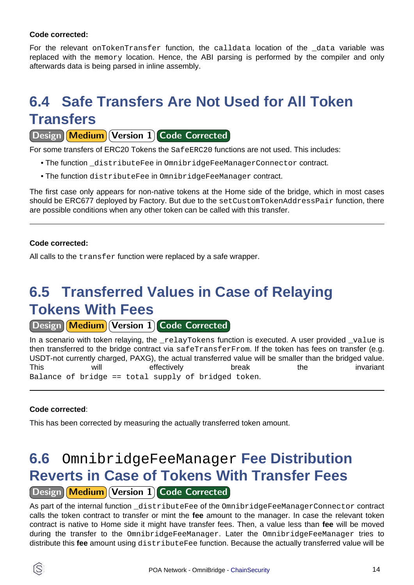#### **Code corrected:**

For the relevant onTokenTransfer function, the calldata location of the data variable was replaced with the memory location. Hence, the ABI parsing is performed by the compiler and only afterwards data is being parsed in inline assembly.

# <span id="page-13-0"></span>**6.4 Safe Transfers Are Not Used for All Token Transfers**

Design Medium Version 1 Code Corrected

For some transfers of ERC20 Tokens the SafeERC20 functions are not used. This includes:

- The function \_distributeFee in OmnibridgeFeeManagerConnector contract.
- The function distributeFee in OmnibridgeFeeManager contract.

The first case only appears for non-native tokens at the Home side of the bridge, which in most cases should be ERC677 deployed by Factory. But due to the setCustomTokenAddressPair function, there are possible conditions when any other token can be called with this transfer.

### **Code corrected:**

All calls to the transfer function were replaced by a safe wrapper.

# <span id="page-13-1"></span>**6.5 Transferred Values in Case of Relaying Tokens With Fees**

Design Medium Version 1 Code Corrected

In a scenario with token relaying, the  $_{\text{relayTokens}}$  function is executed. A user provided value is then transferred to the bridge contract via safeTransferFrom. If the token has fees on transfer (e.g. USDT-not currently charged, PAXG), the actual transferred value will be smaller than the bridged value. This will effectively break the invariant Balance of bridge == total supply of bridged token.

### **Code corrected**:

This has been corrected by measuring the actually transferred token amount.

### <span id="page-13-2"></span>**6.6** OmnibridgeFeeManager **Fee Distribution Reverts in Case of Tokens With Transfer Fees** Design Medium Version 1 Code Corrected

As part of the internal function distributeFee of the OmnibridgeFeeManagerConnector contract calls the token contract to transfer or mint the **fee** amount to the manager. In case the relevant token contract is native to Home side it might have transfer fees. Then, a value less than **fee** will be moved during the transfer to the OmnibridgeFeeManager. Later the OmnibridgeFeeManager tries to distribute this **fee** amount using distributeFee function. Because the actually transferred value will be

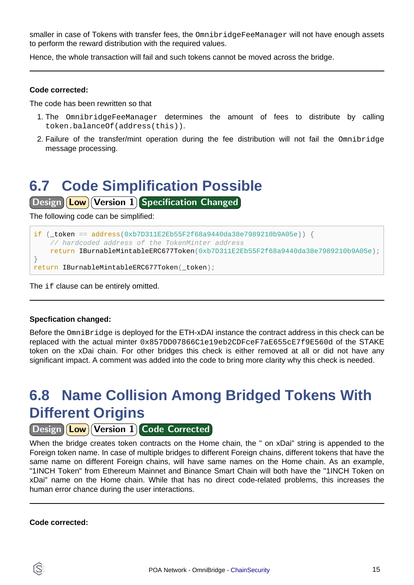smaller in case of Tokens with transfer fees, the OmnibridgeFeeManager will not have enough assets to perform the reward distribution with the required values.

Hence, the whole transaction will fail and such tokens cannot be moved across the bridge.

#### **Code corrected:**

The code has been rewritten so that

- 1. The OmnibridgeFeeManager determines the amount of fees to distribute by calling token.balanceOf(address(this)).
- 2. Failure of the transfer/mint operation during the fee distribution will not fail the Omnibridge message processing.

# <span id="page-14-0"></span>**6.7 Code Simplification Possible**

Design **Low** Version 1 Specification Changed

The following code can be simplified:

#### if (  $token == address(0xb7D311E2Eb55F2f68a9440da38e7989210b9A05e)$  ) { // hardcoded address of the TokenMinter address return IBurnableMintableERC677Token(0xb7D311E2Eb55F2f68a9440da38e7989210b9A05e); } return IBurnableMintableERC677Token(\_token);

The if clause can be entirely omitted.

#### **Specfication changed:**

Before the OmniBridge is deployed for the ETH-xDAI instance the contract address in this check can be replaced with the actual minter 0x857DD07866C1e19eb2CDFceF7aE655cE7f9E560d of the STAKE token on the xDai chain. For other bridges this check is either removed at all or did not have any significant impact. A comment was added into the code to bring more clarity why this check is needed.

# <span id="page-14-1"></span>**6.8 Name Collision Among Bridged Tokens With Different Origins**

Design (Low) Version 1 Code Corrected

When the bridge creates token contracts on the Home chain, the " on xDai" string is appended to the Foreign token name. In case of multiple bridges to different Foreign chains, different tokens that have the same name on different Foreign chains, will have same names on the Home chain. As an example, "1INCH Token" from Ethereum Mainnet and Binance Smart Chain will both have the "1INCH Token on xDai" name on the Home chain. While that has no direct code-related problems, this increases the human error chance during the user interactions.

**Code corrected:**

S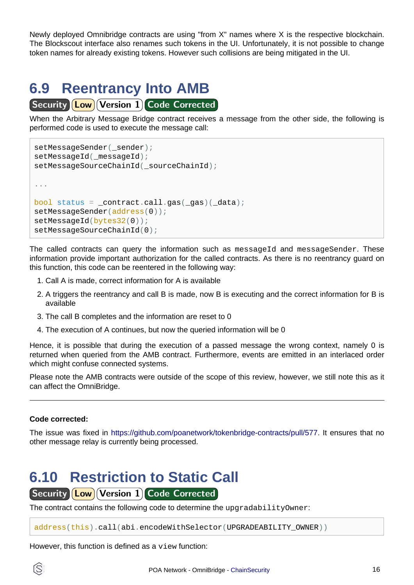Newly deployed Omnibridge contracts are using "from X" names where X is the respective blockchain. The Blockscout interface also renames such tokens in the UI. Unfortunately, it is not possible to change token names for already existing tokens. However such collisions are being mitigated in the UI.

# <span id="page-15-0"></span>**6.9 Reentrancy Into AMB**

**Security Low Version 1 Code Corrected** 

When the Arbitrary Message Bridge contract receives a message from the other side, the following is performed code is used to execute the message call:

```
setMessageSender(_sender);
setMessageId( messageId);
setMessageSourceChainId( sourceChainId);
...
bool status = contract.call.gas(gas)(data);setMessageSender(address(0));
setMessageId(bytes32(0));
setMessageSourceChainId(0);
```
The called contracts can query the information such as messageId and messageSender. These information provide important authorization for the called contracts. As there is no reentrancy guard on this function, this code can be reentered in the following way:

- 1. Call A is made, correct information for A is available
- 2. A triggers the reentrancy and call B is made, now B is executing and the correct information for B is available
- 3. The call B completes and the information are reset to 0
- 4. The execution of A continues, but now the queried information will be 0

Hence, it is possible that during the execution of a passed message the wrong context, namely 0 is returned when queried from the AMB contract. Furthermore, events are emitted in an interlaced order which might confuse connected systems.

Please note the AMB contracts were outside of the scope of this review, however, we still note this as it can affect the OmniBridge.

### **Code corrected:**

The issue was fixed i[n https://github.com/poanetwork/tokenbridge-contracts/pull/577.](https://github.com/poanetwork/tokenbridge-contracts/pull/577) It ensures that no other message relay is currently being processed.

# <span id="page-15-1"></span>**6.10 Restriction to Static Call**

Security **Low** Version 1 Code Corrected

The contract contains the following code to determine the upgradabilityOwner:

address(this).call(abi.encodeWithSelector(UPGRADEABILITY\_OWNER))

However, this function is defined as a view function: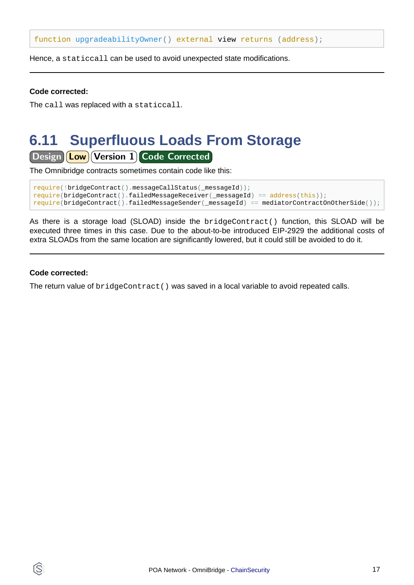function upgradeabilityOwner() external view returns (address);

Hence, a staticcall can be used to avoid unexpected state modifications.

#### **Code corrected:**

The call was replaced with a staticcall.

## <span id="page-16-0"></span>**6.11 Superfluous Loads From Storage**

Design **Low** Version 1 Code Corrected

The Omnibridge contracts sometimes contain code like this:

```
require(!bridgeContract().messageCallStatus(_messageId));
require(bridgeContract().failedMessageReceiver(_messageId) == address(this));
require(bridgeContract().failedMessageSender(_messageId) == mediatorContractOnOtherSide());
```
As there is a storage load (SLOAD) inside the bridgeContract() function, this SLOAD will be executed three times in this case. Due to the about-to-be introduced EIP-2929 the additional costs of extra SLOADs from the same location are significantly lowered, but it could still be avoided to do it.

#### **Code corrected:**

The return value of bridgeContract() was saved in a local variable to avoid repeated calls.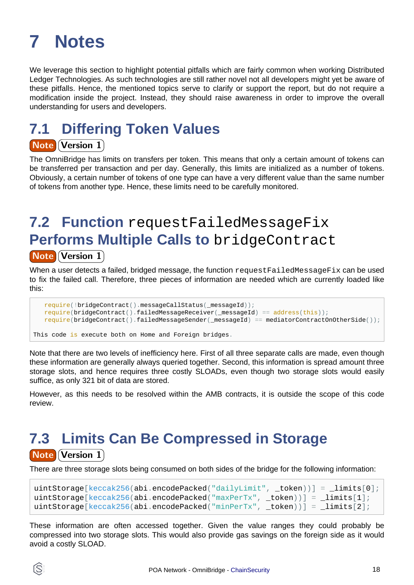# <span id="page-17-0"></span>**7 Notes**

We leverage this section to highlight potential pitfalls which are fairly common when working Distributed Ledger Technologies. As such technologies are still rather novel not all developers might yet be aware of these pitfalls. Hence, the mentioned topics serve to clarify or support the report, but do not require a modification inside the project. Instead, they should raise awareness in order to improve the overall understanding for users and developers.

# **7.1 Differing Token Values**

### **Note Version 1**

The OmniBridge has limits on transfers per token. This means that only a certain amount of tokens can be transferred per transaction and per day. Generally, this limits are initialized as a number of tokens. Obviously, a certain number of tokens of one type can have a very different value than the same number of tokens from another type. Hence, these limits need to be carefully monitored.

# **7.2 Function** requestFailedMessageFix **Performs Multiple Calls to** bridgeContract

### **Note Version 1**

When a user detects a failed, bridged message, the function request FailedMessageFix can be used to fix the failed call. Therefore, three pieces of information are needed which are currently loaded like this:

```
 require(!bridgeContract().messageCallStatus(_messageId));
 require(bridgeContract().failedMessageReceiver(_messageId) == address(this));
 require(bridgeContract().failedMessageSender(_messageId) == mediatorContractOnOtherSide());
```

```
This code is execute both on Home and Foreign bridges.
```
Note that there are two levels of inefficiency here. First of all three separate calls are made, even though these information are generally always queried together. Second, this information is spread amount three storage slots, and hence requires three costly SLOADs, even though two storage slots would easily suffice, as only 321 bit of data are stored.

However, as this needs to be resolved within the AMB contracts, it is outside the scope of this code review.

# **7.3 Limits Can Be Compressed in Storage Note Version 1**

There are three storage slots being consumed on both sides of the bridge for the following information:

```
uintStorage[keccak256(abi.encodePacked("dailyLimit", _token))] = _limits[0];
uintStorage[keccak256(abi.encodePacked("maxPerTx", _token))] = _limits[1];
uintStorage[keccak256(abi.encodePacked("minPerTx", token))] = \text{limits}[2];
```
These information are often accessed together. Given the value ranges they could probably be compressed into two storage slots. This would also provide gas savings on the foreign side as it would avoid a costly SLOAD.

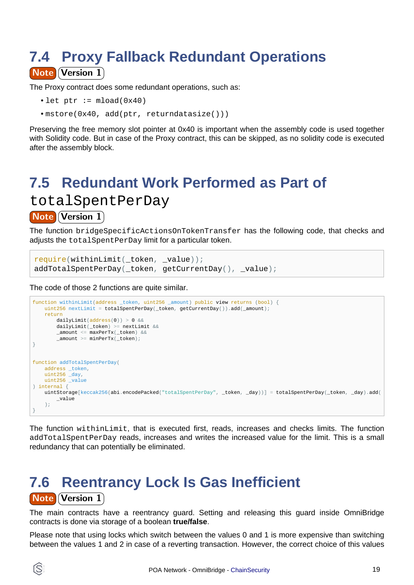### **7.4 Proxy Fallback Redundant Operations Note Version 1**

The Proxy contract does some redundant operations, such as:

- let  $ptr := mload(0x40)$
- mstore(0x40, add(ptr, returndatasize()))

Preserving the free memory slot pointer at 0x40 is important when the assembly code is used together with Solidity code. But in case of the Proxy contract, this can be skipped, as no solidity code is executed after the assembly block.

## **7.5 Redundant Work Performed as Part of**

totalSpentPerDay

### **Note Version 1**

The function bridgeSpecificActionsOnTokenTransfer has the following code, that checks and adjusts the totalSpentPerDay limit for a particular token.

```
require(withinLimit(_token, _value));
addTotalSpentPerDay(_token, getCurrentDay(), _value);
```
The code of those 2 functions are quite similar.

```
function withinLimit(address _token, uint256 _amount) public view returns (bool) {
   uint256 nextLimit = totalSpentPerDay(_token, getCurrentDay()).add(_amount);
    return
       dailyLimit(address(0)) > 0 & &
       dailyLimit( token) >= nextLimit &&
        _amount <= maxPerTx(_token) &&
       \_amount >= minPerTx( _token);}
function addTotalSpentPerDay(
    address _token,
    uint256 _day,
    uint256 _value
) internal {
    uintStorage[keccak256(abi.encodePacked("totalSpentPerDay", _token, _day))] = totalSpentPerDay(_token, _day).add(
        _value
    );
}
```
The function withinLimit, that is executed first, reads, increases and checks limits. The function addTotalSpentPerDay reads, increases and writes the increased value for the limit. This is a small redundancy that can potentially be eliminated.

### **7.6 Reentrancy Lock Is Gas Inefficient** Note Version 1

The main contracts have a reentrancy guard. Setting and releasing this guard inside OmniBridge contracts is done via storage of a boolean **true/false**.

Please note that using locks which switch between the values 0 and 1 is more expensive than switching between the values 1 and 2 in case of a reverting transaction. However, the correct choice of this values

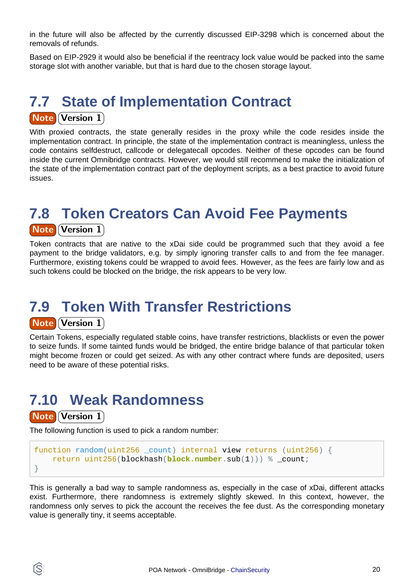in the future will also be affected by the currently discussed EIP-3298 which is concerned about the removals of refunds.

Based on EIP-2929 it would also be beneficial if the reentracy lock value would be packed into the same storage slot with another variable, but that is hard due to the chosen storage layout.

## **7.7 State of Implementation Contract Note Version 1**

With proxied contracts, the state generally resides in the proxy while the code resides inside the implementation contract. In principle, the state of the implementation contract is meaningless, unless the code contains selfdestruct, callcode or delegatecall opcodes. Neither of these opcodes can be found inside the current Omnibridge contracts. However, we would still recommend to make the initialization of the state of the implementation contract part of the deployment scripts, as a best practice to avoid future issues.

## **7.8 Token Creators Can Avoid Fee Payments**

### **Note Version 1**

Token contracts that are native to the xDai side could be programmed such that they avoid a fee payment to the bridge validators, e.g. by simply ignoring transfer calls to and from the fee manager. Furthermore, existing tokens could be wrapped to avoid fees. However, as the fees are fairly low and as such tokens could be blocked on the bridge, the risk appears to be very low.

# **7.9 Token With Transfer Restrictions**

### Note Version 1

Certain Tokens, especially regulated stable coins, have transfer restrictions, blacklists or even the power to seize funds. If some tainted funds would be bridged, the entire bridge balance of that particular token might become frozen or could get seized. As with any other contract where funds are deposited, users need to be aware of these potential risks.

# **7.10 Weak Randomness**

**Note Version 1** 

ÍS.

The following function is used to pick a random number:

```
function random(uint256 _count) internal view returns (uint256) {
     return uint256(blockhash(block.number.sub(1))) % _count;
}
```
This is generally a bad way to sample randomness as, especially in the case of xDai, different attacks exist. Furthermore, there randomness is extremely slightly skewed. In this context, however, the randomness only serves to pick the account the receives the fee dust. As the corresponding monetary value is generally tiny, it seems acceptable.